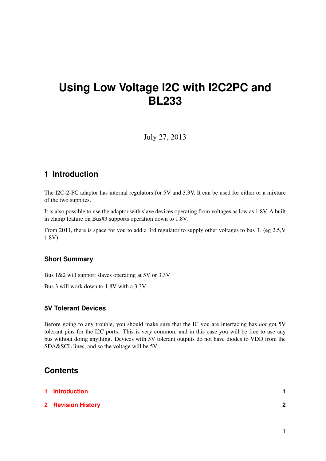# **Using Low Voltage I2C with I2C2PC and BL233**

July 27, 2013

### <span id="page-0-0"></span>**1 Introduction**

The I2C-2-PC adaptor has internal regulators for 5V and 3.3V. It can be used for either or a mixture of the two supplies.

It is also possible to use the adaptor with slave devices operating from voltages as low as 1.8V. A built in clamp feature on Bus#3 supports operation down to 1.8V.

From 2011, there is space for you to add a 3rd regulator to supply other voltages to bus 3. (eg 2.5,V 1.8V)

#### **Short Summary**

Bus 1&2 will support slaves operating at 5V or 3.3V

Bus 3 will work down to 1.8V with a 3.3V

#### **5V Tolerant Devices**

Before going to any trouble, you should make sure that the IC you are interfacing has *not* got 5V tolerant pins for the I2C ports. This is very common, and in this case you will be free to use any bus without doing anything. Devices with 5V tolerant outputs do not have diodes to VDD from the SDA&SCL lines, and so the voltage will be 5V.

### **Contents**

| 1 Introduction            |   |
|---------------------------|---|
| <b>2</b> Revision History | 2 |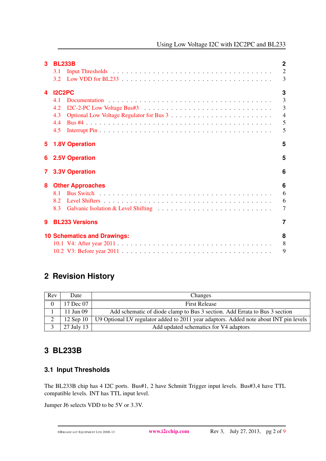| 3  | <b>BL233B</b><br>Input Thresholds in the contract of the contract of the contract of the contract of the contract of the contract of the contract of the contract of the contract of the contract of the contract of the contract of the contra<br>3.1<br>3.2 | $\mathbf 2$<br>$\overline{2}$<br>3      |
|----|---------------------------------------------------------------------------------------------------------------------------------------------------------------------------------------------------------------------------------------------------------------|-----------------------------------------|
| 4  | <b>I2C2PC</b><br>4.1<br>4.2<br>4.3<br>4.4<br>4.5                                                                                                                                                                                                              | 3<br>3<br>3<br>$\overline{4}$<br>5<br>5 |
| 5. | <b>1.8V Operation</b>                                                                                                                                                                                                                                         | 5                                       |
| 6. | <b>2.5V Operation</b>                                                                                                                                                                                                                                         | 5                                       |
| 7  | <b>3.3V Operation</b>                                                                                                                                                                                                                                         | 6                                       |
| 8  | <b>Other Approaches</b><br>81<br>8.2<br>8.3                                                                                                                                                                                                                   | 6<br>6<br>6<br>7                        |
| 9  | <b>BL233 Versions</b>                                                                                                                                                                                                                                         | 7                                       |
|    | <b>10 Schematics and Drawings:</b>                                                                                                                                                                                                                            | 8<br>8<br>9                             |

# <span id="page-1-0"></span>**2 Revision History**

| Rev           | Date               | Changes                                                                               |  |  |
|---------------|--------------------|---------------------------------------------------------------------------------------|--|--|
| $\theta$      | 17 Dec 07          | <b>First Release</b>                                                                  |  |  |
|               | 11 Jun 09          | Add schematic of diode clamp to Bus 3 section. Add Errata to Bus 3 section            |  |  |
| $\gamma$<br>∠ | 12 Sep 10 $\vert$  | U9 Optional LV regulator added to 2011 year adaptors. Added note about INT pin levels |  |  |
|               | 27 July 13 $\vert$ | Add updated schematics for V4 adaptors                                                |  |  |

# <span id="page-1-1"></span>**3 BL233B**

### <span id="page-1-2"></span>**3.1 Input Thresholds**

The BL233B chip has 4 I2C ports. Bus#1, 2 have Schmitt Trigger input levels. Bus#3,4 have TTL compatible levels. INT has TTL input level.

Jumper J6 selects VDD to be 5V or 3.3V.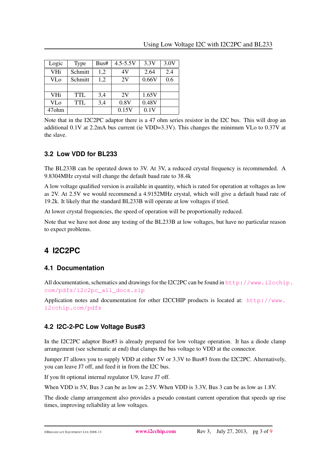| Logic             | <b>Type</b> | Bus# | $4.5 - 5.5V$ | 3.3V  | 3.0V |
|-------------------|-------------|------|--------------|-------|------|
| <b>VHi</b>        | Schmitt     | 1,2  | 4V           | 2.64  | 2.4  |
| <b>VLo</b>        | Schmitt     | 1,2  | 2V           | 0.66V | 0.6  |
|                   |             |      |              |       |      |
| <b>VHi</b>        | <b>TTL</b>  | 3,4  | 2V           | 1.65V |      |
| <b>VLo</b>        | <b>TTL</b>  | 3,4  | 0.8V         | 0.48V |      |
| 47 <sub>ohm</sub> |             |      | 0.15V        | 0.1V  |      |

Note that in the I2C2PC adaptor there is a 47 ohm series resistor in the I2C bus. This will drop an additional 0.1V at 2.2mA bus current (ie VDD=3.3V). This changes the minimum VLo to 0.37V at the slave.

#### <span id="page-2-0"></span>**3.2 Low VDD for BL233**

The BL233B can be operated down to 3V. At 3V, a reduced crystal frequency is recommended. A 9.8304MHz crystal will change the default baud rate to 38.4k

A low voltage qualified version is available in quantity, which is rated for operation at voltages as low as 2V. At 2.5V we would recommend a 4.9152MHz crystal, which will give a default baud rate of 19.2k. It likely that the standard BL233B will operate at low voltages if tried.

At lower crystal frequencies, the speed of operation will be proportionally reduced.

Note that we have not done any testing of the BL233B at low voltages, but have no particular reason to expect problems.

# <span id="page-2-1"></span>**4 I2C2PC**

#### <span id="page-2-2"></span>**4.1 Documentation**

All documentation, schematics and drawings for the I2C2PC can be found in  $http://www.i2cchip.$  $http://www.i2cchip.$ [com/pdfs/i2c2pc\\_all\\_docs.zip](http://www.i2cchip.com/pdfs/i2c2pc_all_docs.zip)

Application notes and documentation for other I2CCHIP products is located at: [http://www.](http://www.i2cchip.com/pdfs) [i2cchip.com/pdfs](http://www.i2cchip.com/pdfs)

#### <span id="page-2-3"></span>**4.2 I2C-2-PC Low Voltage Bus#3**

In the I2C2PC adaptor Bus#3 is already prepared for low voltage operation. It has a diode clamp arrangement (see schematic at end) that clamps the bus voltage to VDD at the connector.

Jumper J7 allows you to supply VDD at either 5V or 3.3V to Bus#3 from the I2C2PC. Alternatively, you can leave J7 off, and feed it in from the I2C bus.

If you fit optional internal regulator U9, leave J7 off.

When VDD is 5V, Bus 3 can be as low as 2.5V. When VDD is 3.3V, Bus 3 can be as low as 1.8V.

The diode clamp arrangement also provides a pseudo constant current operation that speeds up rise times, improving reliability at low voltages.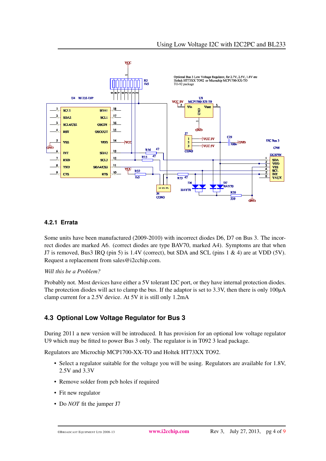

#### **4.2.1 Errata**

Some units have been manufactured (2009-2010) with incorrect diodes D6, D7 on Bus 3. The incorrect diodes are marked A6. (correct diodes are type BAV70, marked A4). Symptoms are that when J7 is removed, Bus3 IRQ (pin 5) is  $1.4V$  (correct), but SDA and SCL (pins 1 & 4) are at VDD (5V). Request a replacement from sales@i2cchip.com.

#### *Will this be a Problem?*

Probably not. Most devices have either a 5V tolerant I2C port, or they have internal protection diodes. The protection diodes will act to clamp the bus. If the adaptor is set to 3.3V, then there is only 100 $\mu$ A clamp current for a 2.5V device. At 5V it is still only 1.2mA

#### <span id="page-3-0"></span>**4.3 Optional Low Voltage Regulator for Bus 3**

During 2011 a new version will be introduced. It has provision for an optional low voltage regulator U9 which may be fitted to power Bus 3 only. The regulator is in T092 3 lead package.

Regulators are Microchip MCP1700-XX-TO and Holtek HT73XX TO92.

- Select a regulator suitable for the voltage you will be using. Regulators are available for 1.8V, 2.5V and 3.3V
- Remove solder from pcb holes if required
- Fit new regulator
- Do *NOT* fit the jumper J7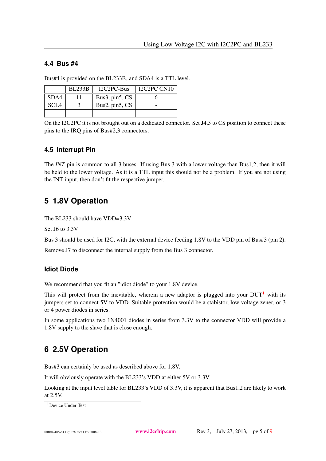#### <span id="page-4-0"></span>**4.4 Bus #4**

Bus#4 is provided on the BL233B, and SDA4 is a TTL level.

|             | <b>BL233B</b> | I2C2PC-Bus     | IC2PC CN10 |
|-------------|---------------|----------------|------------|
| SDA4        |               | Bus3, pin5, CS |            |
| <b>SCL4</b> |               | Bus2, pin5, CS |            |
|             |               |                |            |

On the I2C2PC it is not brought out on a dedicated connector. Set J4,5 to CS position to connect these pins to the IRQ pins of Bus#2,3 connectors.

#### <span id="page-4-1"></span>**4.5 Interrupt Pin**

The *INT* pin is common to all 3 buses. If using Bus 3 with a lower voltage than Bus1,2, then it will be held to the lower voltage. As it is a TTL input this should not be a problem. If you are not using the INT input, then don't fit the respective jumper.

### <span id="page-4-2"></span>**5 1.8V Operation**

The BL233 should have VDD=3.3V

Set J6 to 3.3V

Bus 3 should be used for I2C, with the external device feeding 1.8V to the VDD pin of Bus#3 (pin 2).

Remove J7 to disconnect the internal supply from the Bus 3 connector.

#### **Idiot Diode**

We recommend that you fit an "idiot diode" to your 1.8V device.

This will protect from the inevitable, wherein a new adaptor is plugged into your  $DUT<sup>1</sup>$  $DUT<sup>1</sup>$  $DUT<sup>1</sup>$  with its jumpers set to connect 5V to VDD. Suitable protection would be a stabistor, low voltage zener, or 3 or 4 power diodes in series.

In some applications two 1N4001 diodes in series from 3.3V to the connector VDD will provide a 1.8V supply to the slave that is close enough.

## <span id="page-4-3"></span>**6 2.5V Operation**

Bus#3 can certainly be used as described above for 1.8V.

It will obviously operate with the BL233's VDD at either 5V or 3.3V

Looking at the input level table for BL233's VDD of 3.3V, it is apparent that Bus1,2 are likely to work at 2.5V.

<span id="page-4-4"></span><sup>1</sup>Device Under Test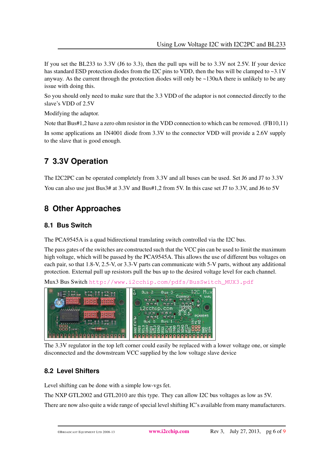If you set the BL233 to 3.3V (J6 to 3.3), then the pull ups will be to 3.3V not 2.5V. If your device has standard ESD protection diodes from the I2C pins to VDD, then the bus will be clamped to  $\sim 3.1$ V anyway. As the current through the protection diodes will only be  $\sim$ 130uA there is unlikely to be any issue with doing this.

So you should only need to make sure that the 3.3 VDD of the adaptor is not connected directly to the slave's VDD of 2.5V

Modifying the adaptor.

Note that Bus#1,2 have a zero ohm resistor in the VDD connection to which can be removed. (FB10,11)

In some applications an 1N4001 diode from 3.3V to the connector VDD will provide a 2.6V supply to the slave that is good enough.

# <span id="page-5-0"></span>**7 3.3V Operation**

The I2C2PC can be operated completely from 3.3V and all buses can be used. Set J6 and J7 to 3.3V You can also use just Bus3# at 3.3V and Bus#1,2 from 5V. In this case set J7 to 3.3V, and J6 to 5V

# <span id="page-5-1"></span>**8 Other Approaches**

### <span id="page-5-2"></span>**8.1 Bus Switch**

The PCA9545A is a quad bidirectional translating switch controlled via the I2C bus.

The pass gates of the switches are constructed such that the VCC pin can be used to limit the maximum high voltage, which will be passed by the PCA9545A. This allows the use of different bus voltages on each pair, so that 1.8-V, 2.5-V, or 3.3-V parts can communicate with 5-V parts, without any additional protection. External pull up resistors pull the bus up to the desired voltage level for each channel.

Mux3 Bus Switch [http://www.i2cchip.com/pdfs/BusSwitch\\_MUX3.pdf](http://www.i2cchip.com/pdfs/BusSwitch_MUX3.pdf)

 $Bus - 2$  $Bus<sub>3</sub>$ 12cchip.com Bus **GRAQO**  $\begin{array}{c} 0 & 0 \\ 0 & 0 \end{array}$ 

The 3.3V regulator in the top left corner could easily be replaced with a lower voltage one, or simple disconnected and the downstream VCC supplied by the low voltage slave device

### <span id="page-5-3"></span>**8.2 Level Shifters**

Level shifting can be done with a simple low-vgs fet.

The NXP GTL2002 and GTL2010 are this type. They can allow I2C bus voltages as low as 5V.

There are now also quite a wide range of special level shifting IC's available from many manufacturers.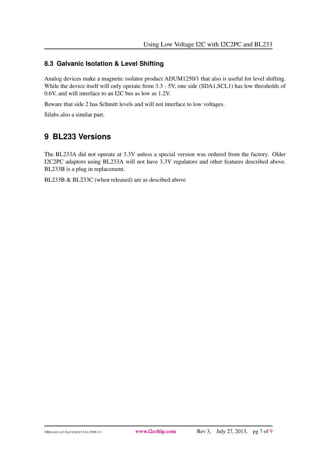#### <span id="page-6-0"></span>**8.3 Galvanic Isolation & Level Shifting**

Analog devices make a magnetic isolator product ADUM1250/1 that also is useful for level shifting. While the device itself will only operate from 3.3 - 5V, one side (SDA1, SCL1) has low thresholds of 0.6V, and will interface to an I2C bus as low as 1.2V.

Beware that side 2 has Schmitt levels and will not interface to low voltages.

Silabs also a similar part.

### <span id="page-6-1"></span>**9 BL233 Versions**

The BL233A did not operate at 3.3V unless a special version was ordered from the factory. Older I2C2PC adaptors using BL233A will not have 3.3V regulators and other features described above. BL233B is a plug in replacement.

BL233B & BL233C (when released) are as descibed above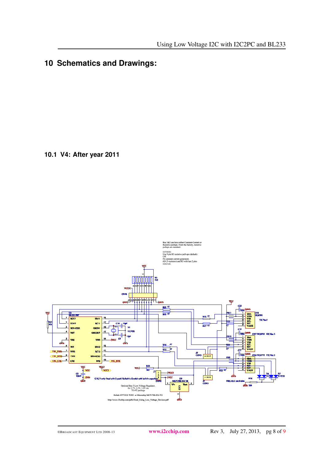# <span id="page-7-1"></span><span id="page-7-0"></span>**10 Schematics and Drawings:**

**10.1 V4: After year 2011**